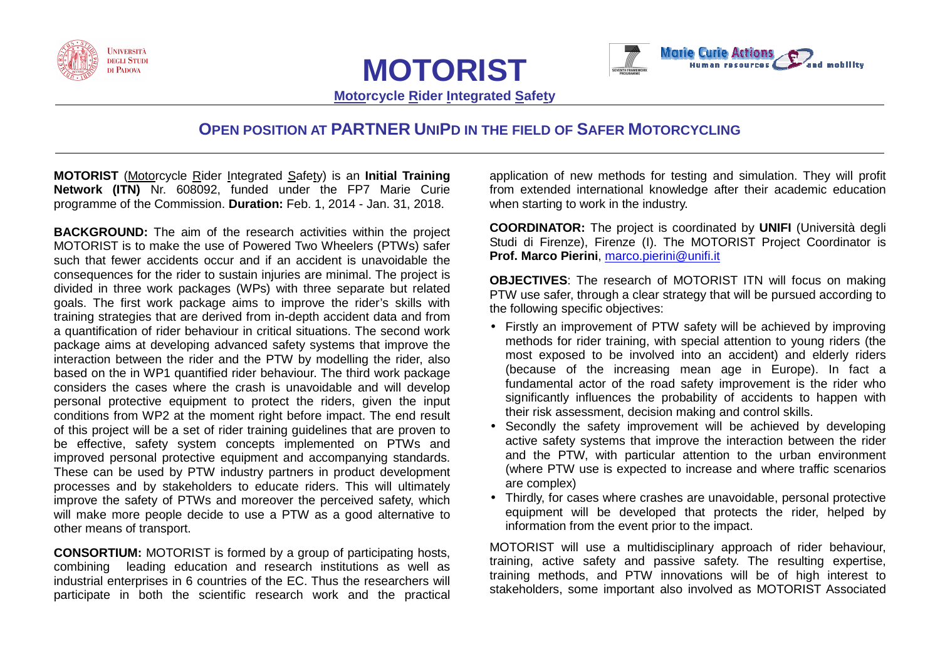





**Motorcycle Rider Integrated Safety** 

## **OPEN POSITION AT PARTNERUNIPD IN THE FIELD OF SAFER MOTORCYCLING**

**MOTORIST** (Motorcycle Rider Integrated Safety) is an **Initial Training Network (ITN)** Nr. 608092, funded under the FP7 Marie Curie programme of the Commission. **Duration:** Feb. 1, 2014 - Jan. 31, 2018.

**BACKGROUND:** The aim of the research activities within the project MOTORIST is to make the use of Powered Two Wheelers (PTWs) safer such that fewer accidents occur and if an accident is unavoidable the consequences for the rider to sustain injuries are minimal. The project is divided in three work packages (WPs) with three separate but related goals. The first work package aims to improve the rider's skills with training strategies that are derived from in-depth accident data and from a quantification of rider behaviour in critical situations. The second work package aims at developing advanced safety systems that improve the interaction between the rider and the PTW by modelling the rider, also based on the in WP1 quantified rider behaviour. The third work package considers the cases where the crash is unavoidable and will develop personal protective equipment to protect the riders, given the input conditions from WP2 at the moment right before impact. The end result of this project will be a set of rider training guidelines that are proven to be effective, safety system concepts implemented on PTWs and improved personal protective equipment and accompanying standards. These can be used by PTW industry partners in product development processes and by stakeholders to educate riders. This will ultimately improve the safety of PTWs and moreover the perceived safety, which will make more people decide to use a PTW as a good alternative to other means of transport.

**CONSORTIUM:** MOTORIST is formed by a group of participating hosts, combining leading education and research institutions as well as industrial enterprises in 6 countries of the EC. Thus the researchers will participate in both the scientific research work and the practical application of new methods for testing and simulation. They will profit from extended international knowledge after their academic education when starting to work in the industry.

**COORDINATOR:** The project is coordinated by **UNIFI** (Università degli Studi di Firenze), Firenze (I). The MOTORIST Project Coordinator is **Prof. Marco Pierini**, marco.pierini@unifi.it

**OBJECTIVES**: The research of MOTORIST ITN will focus on making PTW use safer, through a clear strategy that will be pursued according to the following specific objectives:

- Firstly an improvement of PTW safety will be achieved by improving methods for rider training, with special attention to young riders (the most exposed to be involved into an accident) and elderly riders (because of the increasing mean age in Europe). In fact a fundamental actor of the road safety improvement is the rider who significantly influences the probability of accidents to happen with their risk assessment, decision making and control skills.
- Secondly the safety improvement will be achieved by developing active safety systems that improve the interaction between the rider and the PTW, with particular attention to the urban environment (where PTW use is expected to increase and where traffic scenarios are complex)
- Thirdly, for cases where crashes are unavoidable, personal protective equipment will be developed that protects the rider, helped by information from the event prior to the impact.

MOTORIST will use a multidisciplinary approach of rider behaviour, training, active safety and passive safety. The resulting expertise, training methods, and PTW innovations will be of high interest to stakeholders, some important also involved as MOTORIST Associated